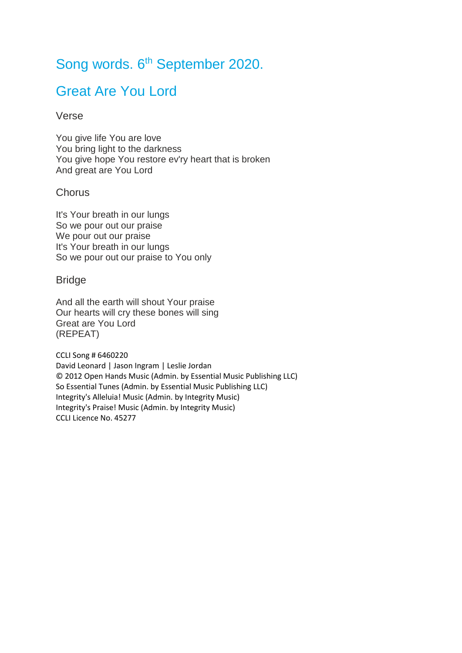# Song words. 6<sup>th</sup> September 2020.

### Great Are You Lord

#### Verse

You give life You are love You bring light to the darkness You give hope You restore ev'ry heart that is broken And great are You Lord

#### **Chorus**

It's Your breath in our lungs So we pour out our praise We pour out our praise It's Your breath in our lungs So we pour out our praise to You only

#### **Bridge**

And all the earth will shout Your praise Our hearts will cry these bones will sing Great are You Lord (REPEAT)

CCLI Song # 6460220 David Leonard | Jason Ingram | Leslie Jordan © 2012 Open Hands Music (Admin. by Essential Music Publishing LLC) So Essential Tunes (Admin. by Essential Music Publishing LLC) Integrity's Alleluia! Music (Admin. by Integrity Music) Integrity's Praise! Music (Admin. by Integrity Music) CCLI Licence No. 45277